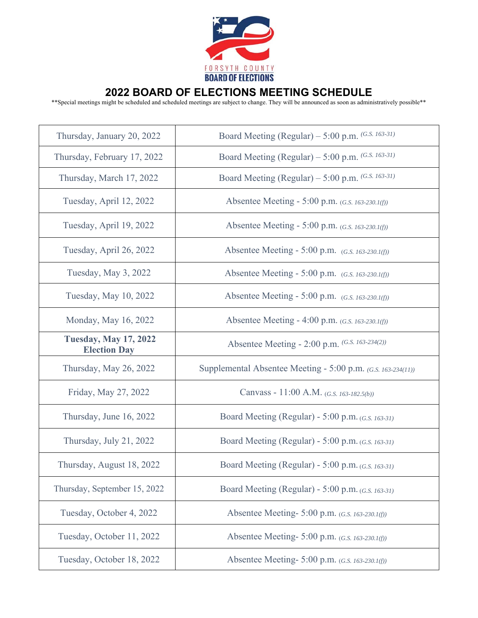

## **2022 BOARD OF ELECTIONS MEETING SCHEDULE**

\*\*Special meetings might be scheduled and scheduled meetings are subject to change. They will be announced as soon as administratively possible\*\*

| Thursday, January 20, 2022                          | Board Meeting (Regular) – 5:00 p.m. $(G.S. 163-31)$          |
|-----------------------------------------------------|--------------------------------------------------------------|
| Thursday, February 17, 2022                         | Board Meeting (Regular) - 5:00 p.m. $(G.S. 163-31)$          |
| Thursday, March 17, 2022                            | Board Meeting (Regular) - 5:00 p.m. $(G.S. 163-31)$          |
| Tuesday, April 12, 2022                             | Absentee Meeting - 5:00 p.m. $(G.S. 163-230.1(f))$           |
| Tuesday, April 19, 2022                             | Absentee Meeting - 5:00 p.m. (G.S. 163-230.1(f))             |
| Tuesday, April 26, 2022                             | Absentee Meeting - 5:00 p.m. $(G.S. 163-230.1(f))$           |
| Tuesday, May 3, 2022                                | Absentee Meeting - 5:00 p.m. $(G.S. 163-230.1(f))$           |
| Tuesday, May 10, 2022                               | Absentee Meeting - 5:00 p.m. $(G.S. 163-230.1(f))$           |
| Monday, May 16, 2022                                | Absentee Meeting - 4:00 p.m. $(G.S. 163-230.1(f))$           |
| <b>Tuesday, May 17, 2022</b><br><b>Election Day</b> | Absentee Meeting - 2:00 p.m. (G.S. 163-234(2))               |
| Thursday, May 26, 2022                              | Supplemental Absentee Meeting - 5:00 p.m. (G.S. 163-234(11)) |
| Friday, May 27, 2022                                | Canvass - 11:00 A.M. (G.S. 163-182.5(b))                     |
| Thursday, June 16, 2022                             | Board Meeting (Regular) - 5:00 p.m. $(G.S. 163-31)$          |
| Thursday, July 21, 2022                             | Board Meeting (Regular) - 5:00 p.m. $(G.S. 163-31)$          |
| Thursday, August 18, 2022                           | Board Meeting (Regular) - 5:00 p.m. $(G.S. 163-31)$          |
| Thursday, September 15, 2022                        | Board Meeting (Regular) - 5:00 p.m. $(G.S. 163-31)$          |
| Tuesday, October 4, 2022                            | Absentee Meeting- 5:00 p.m. (G.S. 163-230.1(f))              |
| Tuesday, October 11, 2022                           | Absentee Meeting- 5:00 p.m. (G.S. 163-230.1(f))              |
| Tuesday, October 18, 2022                           | Absentee Meeting- 5:00 p.m. (G.S. 163-230.1(f))              |